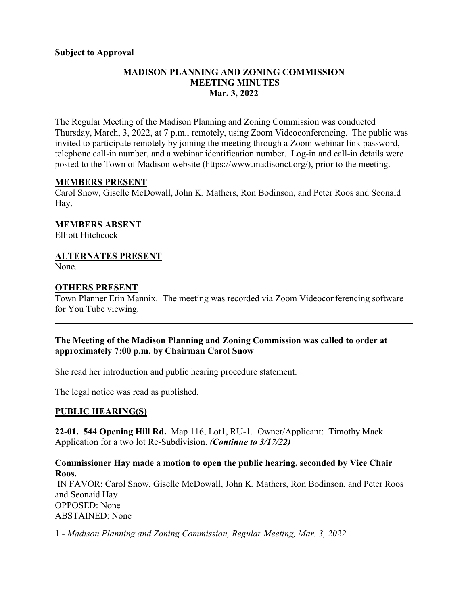#### **Subject to Approval**

## **MADISON PLANNING AND ZONING COMMISSION MEETING MINUTES Mar. 3, 2022**

The Regular Meeting of the Madison Planning and Zoning Commission was conducted Thursday, March, 3, 2022, at 7 p.m., remotely, using Zoom Videoconferencing. The public was invited to participate remotely by joining the meeting through a Zoom webinar link password, telephone call-in number, and a webinar identification number. Log-in and call-in details were posted to the Town of Madison website [\(https://www.madisonct.org/\)](https://www.madisonct.org/), prior to the meeting.

#### **MEMBERS PRESENT**

Carol Snow, Giselle McDowall, John K. Mathers, Ron Bodinson, and Peter Roos and Seonaid Hay.

**MEMBERS ABSENT** Elliott Hitchcock

## **ALTERNATES PRESENT**

None.

## **OTHERS PRESENT**

Town Planner Erin Mannix. The meeting was recorded via Zoom Videoconferencing software for You Tube viewing.

 $\mathcal{L}_\mathcal{L} = \mathcal{L}_\mathcal{L} = \mathcal{L}_\mathcal{L} = \mathcal{L}_\mathcal{L} = \mathcal{L}_\mathcal{L} = \mathcal{L}_\mathcal{L} = \mathcal{L}_\mathcal{L} = \mathcal{L}_\mathcal{L} = \mathcal{L}_\mathcal{L} = \mathcal{L}_\mathcal{L} = \mathcal{L}_\mathcal{L} = \mathcal{L}_\mathcal{L} = \mathcal{L}_\mathcal{L} = \mathcal{L}_\mathcal{L} = \mathcal{L}_\mathcal{L} = \mathcal{L}_\mathcal{L} = \mathcal{L}_\mathcal{L}$ 

#### **The Meeting of the Madison Planning and Zoning Commission was called to order at approximately 7:00 p.m. by Chairman Carol Snow**

She read her introduction and public hearing procedure statement.

The legal notice was read as published.

## **PUBLIC HEARING(S)**

**22-01. 544 Opening Hill Rd.** Map 116, Lot1, RU-1. Owner/Applicant: Timothy Mack. Application for a two lot Re-Subdivision. *(Continue to 3/17/22)*

**Commissioner Hay made a motion to open the public hearing, seconded by Vice Chair Roos.** IN FAVOR: Carol Snow, Giselle McDowall, John K. Mathers, Ron Bodinson, and Peter Roos and Seonaid Hay OPPOSED: None ABSTAINED: None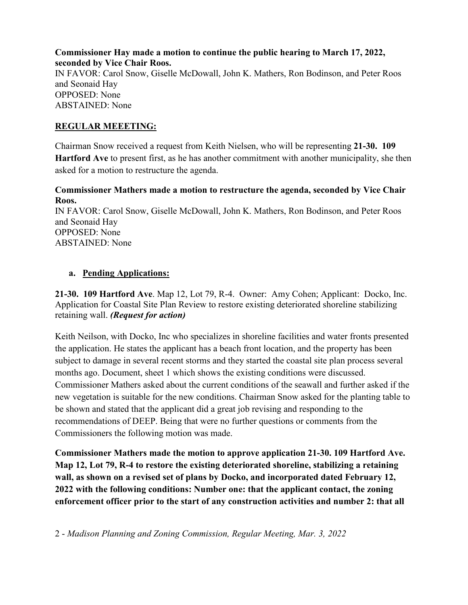**Commissioner Hay made a motion to continue the public hearing to March 17, 2022, seconded by Vice Chair Roos.** IN FAVOR: Carol Snow, Giselle McDowall, John K. Mathers, Ron Bodinson, and Peter Roos and Seonaid Hay OPPOSED: None ABSTAINED: None

## **REGULAR MEEETING:**

Chairman Snow received a request from Keith Nielsen, who will be representing **21-30. 109 Hartford Ave** to present first, as he has another commitment with another municipality, she then asked for a motion to restructure the agenda.

### **Commissioner Mathers made a motion to restructure the agenda, seconded by Vice Chair Roos.**

IN FAVOR: Carol Snow, Giselle McDowall, John K. Mathers, Ron Bodinson, and Peter Roos and Seonaid Hay OPPOSED: None ABSTAINED: None

#### **a. Pending Applications:**

**21-30. 109 Hartford Ave**. Map 12, Lot 79, R-4. Owner: Amy Cohen; Applicant: Docko, Inc. Application for Coastal Site Plan Review to restore existing deteriorated shoreline stabilizing retaining wall. *(Request for action)*

Keith Neilson, with Docko, Inc who specializes in shoreline facilities and water fronts presented the application. He states the applicant has a beach front location, and the property has been subject to damage in several recent storms and they started the coastal site plan process several months ago. Document, sheet 1 which shows the existing conditions were discussed. Commissioner Mathers asked about the current conditions of the seawall and further asked if the new vegetation is suitable for the new conditions. Chairman Snow asked for the planting table to be shown and stated that the applicant did a great job revising and responding to the recommendations of DEEP. Being that were no further questions or comments from the Commissioners the following motion was made.

**Commissioner Mathers made the motion to approve application 21-30. 109 Hartford Ave. Map 12, Lot 79, R-4 to restore the existing deteriorated shoreline, stabilizing a retaining wall, as shown on a revised set of plans by Docko, and incorporated dated February 12, 2022 with the following conditions: Number one: that the applicant contact, the zoning enforcement officer prior to the start of any construction activities and number 2: that all**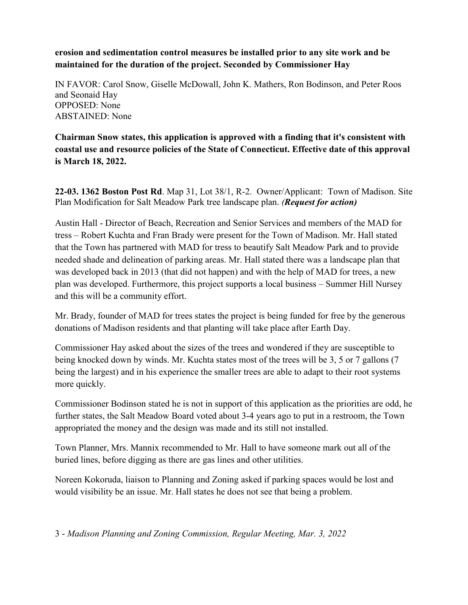**erosion and sedimentation control measures be installed prior to any site work and be maintained for the duration of the project. Seconded by Commissioner Hay**

IN FAVOR: Carol Snow, Giselle McDowall, John K. Mathers, Ron Bodinson, and Peter Roos and Seonaid Hay OPPOSED: None ABSTAINED: None

**Chairman Snow states, this application is approved with a finding that it's consistent with coastal use and resource policies of the State of Connecticut. Effective date of this approval is March 18, 2022.**

**22-03. 1362 Boston Post Rd**. Map 31, Lot 38/1, R-2. Owner/Applicant: Town of Madison. Site Plan Modification for Salt Meadow Park tree landscape plan. *(Request for action)*

Austin Hall - Director of Beach, Recreation and Senior Services and members of the MAD for tress – Robert Kuchta and Fran Brady were present for the Town of Madison. Mr. Hall stated that the Town has partnered with MAD for tress to beautify Salt Meadow Park and to provide needed shade and delineation of parking areas. Mr. Hall stated there was a landscape plan that was developed back in 2013 (that did not happen) and with the help of MAD for trees, a new plan was developed. Furthermore, this project supports a local business – Summer Hill Nursey and this will be a community effort.

Mr. Brady, founder of MAD for trees states the project is being funded for free by the generous donations of Madison residents and that planting will take place after Earth Day.

Commissioner Hay asked about the sizes of the trees and wondered if they are susceptible to being knocked down by winds. Mr. Kuchta states most of the trees will be 3, 5 or 7 gallons (7 being the largest) and in his experience the smaller trees are able to adapt to their root systems more quickly.

Commissioner Bodinson stated he is not in support of this application as the priorities are odd, he further states, the Salt Meadow Board voted about 3-4 years ago to put in a restroom, the Town appropriated the money and the design was made and its still not installed.

Town Planner, Mrs. Mannix recommended to Mr. Hall to have someone mark out all of the buried lines, before digging as there are gas lines and other utilities.

Noreen Kokoruda, liaison to Planning and Zoning asked if parking spaces would be lost and would visibility be an issue. Mr. Hall states he does not see that being a problem.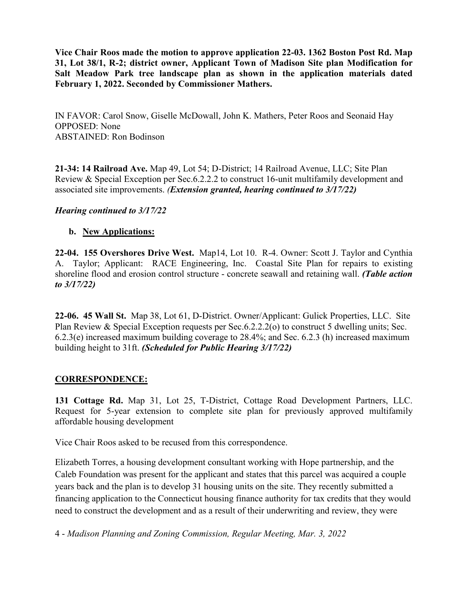**Vice Chair Roos made the motion to approve application 22-03. 1362 Boston Post Rd. Map 31, Lot 38/1, R-2; district owner, Applicant Town of Madison Site plan Modification for Salt Meadow Park tree landscape plan as shown in the application materials dated February 1, 2022. Seconded by Commissioner Mathers.** 

IN FAVOR: Carol Snow, Giselle McDowall, John K. Mathers, Peter Roos and Seonaid Hay OPPOSED: None ABSTAINED: Ron Bodinson

**21-34: 14 Railroad Ave.** Map 49, Lot 54; D-District; 14 Railroad Avenue, LLC; Site Plan Review & Special Exception per Sec.6.2.2.2 to construct 16-unit multifamily development and associated site improvements. *(Extension granted, hearing continued to 3/17/22)*

#### *Hearing continued to 3/17/22*

#### **b. New Applications:**

**22-04. 155 Overshores Drive West.** Map14, Lot 10. R-4. Owner: Scott J. Taylor and Cynthia A. Taylor; Applicant: RACE Engineering, Inc. Coastal Site Plan for repairs to existing shoreline flood and erosion control structure - concrete seawall and retaining wall. *(Table action to 3/17/22)*

**22-06. 45 Wall St.** Map 38, Lot 61, D-District. Owner/Applicant: Gulick Properties, LLC. Site Plan Review & Special Exception requests per Sec.6.2.2.2(o) to construct 5 dwelling units; Sec. 6.2.3(e) increased maximum building coverage to 28.4%; and Sec. 6.2.3 (h) increased maximum building height to 31ft. *(Scheduled for Public Hearing 3/17/22)*

#### **CORRESPONDENCE:**

**131 Cottage Rd.** Map 31, Lot 25, T-District, Cottage Road Development Partners, LLC. Request for 5-year extension to complete site plan for previously approved multifamily affordable housing development

Vice Chair Roos asked to be recused from this correspondence.

Elizabeth Torres, a housing development consultant working with Hope partnership, and the Caleb Foundation was present for the applicant and states that this parcel was acquired a couple years back and the plan is to develop 31 housing units on the site. They recently submitted a financing application to the Connecticut housing finance authority for tax credits that they would need to construct the development and as a result of their underwriting and review, they were